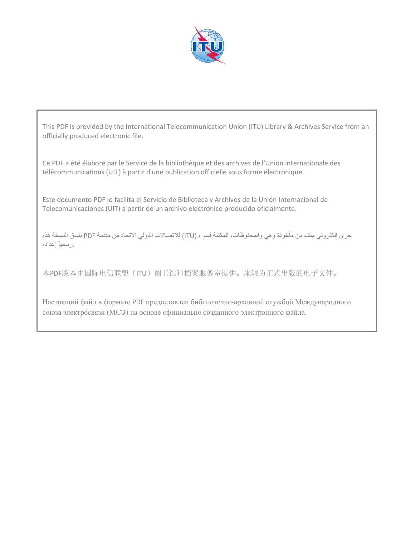

This PDF is provided by the International Telecommunication Union (ITU) Library & Archives Service from an officially produced electronic file.

Ce PDF a été élaboré par le Service de la bibliothèque et des archives de l'Union internationale des télécommunications (UIT) à partir d'une publication officielle sous forme électronique.

Este documento PDF lo facilita el Servicio de Biblioteca y Archivos de la Unión Internacional de Telecomunicaciones (UIT) a partir de un archivo electrónico producido oficialmente.

جرى إلكتروني ملف من مأخوذة وهي والمحفوظات، المكتبة قسم ، (ITU (للاتصالات الدولي الاتحاد من مقدمة PDF بنسق النسخة هذه .رسمياً إعداده

本PDF版本由国际电信联盟(ITU)图书馆和档案服务室提供。来源为正式出版的电子文件。

Настоящий файл в формате PDF предоставлен библиотечно-архивной службой Международного союза электросвязи (МСЭ) на основе официально созданного электронного файла.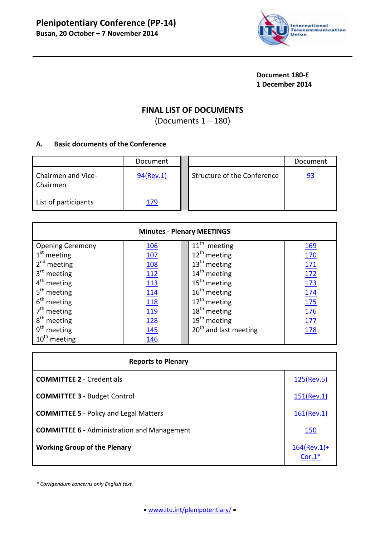

**Document 180-E 1 December 2014**

# **FINAL LIST OF DOCUMENTS**

(Documents 1 – 180)

## **A. Basic documents of the Conference**

|                                | Document  |                             | Document  |
|--------------------------------|-----------|-----------------------------|-----------|
| Chairmen and Vice-<br>Chairmen | 94(Rev.1) | Structure of the Conference | <u>93</u> |
| List of participants           | 179       |                             |           |

| <b>Minutes - Plenary MEETINGS</b> |             |                                   |            |  |  |
|-----------------------------------|-------------|-----------------------------------|------------|--|--|
| <b>Opening Ceremony</b>           | <u>106</u>  | $11th$ meeting                    | <u>169</u> |  |  |
| $1st$ meeting                     | 107         | $12^{th}$ meeting                 | 170        |  |  |
| $2nd$ meeting                     | <u>108</u>  | $13th$ meeting                    | <u>171</u> |  |  |
| 3 <sup>rd</sup> meeting           | <u> 112</u> | $14th$ meeting                    | <u>172</u> |  |  |
| $4th$ meeting                     | <u>113</u>  | $15th$ meeting                    | <u>173</u> |  |  |
| 5 <sup>th</sup> meeting           | 114         | $16th$ meeting                    | <u>174</u> |  |  |
| $6th$ meeting                     | 118         | 17 <sup>th</sup> meeting          | <b>175</b> |  |  |
| $7th$ meeting                     | 119         | 18 <sup>th</sup> meeting          | 176        |  |  |
| 8 <sup>th</sup> meeting           | 128         | $19th$ meeting                    | 177        |  |  |
| 9 <sup>th</sup> meeting           | 145         | 20 <sup>th</sup> and last meeting | 178        |  |  |
| $10th$ meeting                    | <u>146</u>  |                                   |            |  |  |

| <b>Reports to Plenary</b>                          |                            |
|----------------------------------------------------|----------------------------|
| <b>COMMITTEE 2 - Credentials</b>                   | 125(Rev.5)                 |
| <b>COMMITTEE 3 - Budget Control</b>                | $151$ (Rev.1)              |
| <b>COMMITTEE 5</b> - Policy and Legal Matters      | $161$ (Rev.1)              |
| <b>COMMITTEE 6</b> - Administration and Management | <b>150</b>                 |
| <b>Working Group of the Plenary</b>                | $164$ (Rev.1)+<br>$Cor.1*$ |

*\* Corrigendum concerns only English text.*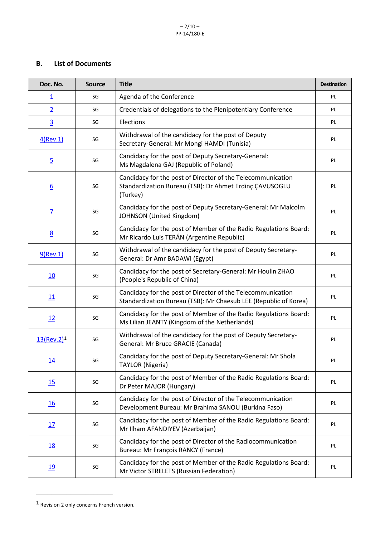### **B. List of Documents**

| Doc. No.                  | <b>Source</b> | <b>Title</b>                                                                                                                       | <b>Destination</b> |
|---------------------------|---------------|------------------------------------------------------------------------------------------------------------------------------------|--------------------|
| $\overline{1}$            | SG            | Agenda of the Conference                                                                                                           | PL                 |
| $\overline{2}$            | SG            | Credentials of delegations to the Plenipotentiary Conference                                                                       | PL                 |
| $\overline{3}$            | SG            | Elections                                                                                                                          | PL                 |
| $4$ (Rev.1)               | SG            | Withdrawal of the candidacy for the post of Deputy<br>Secretary-General: Mr Mongi HAMDI (Tunisia)                                  | PL                 |
| $\overline{5}$            | SG            | Candidacy for the post of Deputy Secretary-General:<br>Ms Magdalena GAJ (Republic of Poland)                                       | PL                 |
| $6 \overline{6}$          | SG            | Candidacy for the post of Director of the Telecommunication<br>Standardization Bureau (TSB): Dr Ahmet Erdinç ÇAVUSOGLU<br>(Turkey) | PL                 |
| $\overline{L}$            | SG            | Candidacy for the post of Deputy Secretary-General: Mr Malcolm<br>JOHNSON (United Kingdom)                                         | PL                 |
| $\underline{8}$           | SG            | Candidacy for the post of Member of the Radio Regulations Board:<br>Mr Ricardo Luis TERÁN (Argentine Republic)                     | PL                 |
| $9$ (Rev.1)               | SG            | Withdrawal of the candidacy for the post of Deputy Secretary-<br>General: Dr Amr BADAWI (Egypt)                                    | PL                 |
| 10                        | SG            | Candidacy for the post of Secretary-General: Mr Houlin ZHAO<br>(People's Republic of China)                                        | PL                 |
| 11                        | SG            | Candidacy for the post of Director of the Telecommunication<br>Standardization Bureau (TSB): Mr Chaesub LEE (Republic of Korea)    | PL                 |
| 12                        | SG            | Candidacy for the post of Member of the Radio Regulations Board:<br>Ms Lilian JEANTY (Kingdom of the Netherlands)                  | PL                 |
| $13$ (Rev.2) <sup>1</sup> | SG            | Withdrawal of the candidacy for the post of Deputy Secretary-<br>General: Mr Bruce GRACIE (Canada)                                 | PL                 |
| 14                        | SG            | Candidacy for the post of Deputy Secretary-General: Mr Shola<br><b>TAYLOR (Nigeria)</b>                                            | PL                 |
| 15                        | SG            | Candidacy for the post of Member of the Radio Regulations Board:<br>Dr Peter MAJOR (Hungary)                                       | PL                 |
| <u>16</u>                 | SG            | Candidacy for the post of Director of the Telecommunication<br>Development Bureau: Mr Brahima SANOU (Burkina Faso)                 | PL                 |
| 17                        | SG            | Candidacy for the post of Member of the Radio Regulations Board:<br>Mr Ilham AFANDIYEV (Azerbaijan)                                | PL                 |
| <u>18</u>                 | SG            | Candidacy for the post of Director of the Radiocommunication<br>Bureau: Mr François RANCY (France)                                 | PL                 |
| <u>19</u>                 | SG            | Candidacy for the post of Member of the Radio Regulations Board:<br>Mr Victor STRELETS (Russian Federation)                        | PL                 |

<span id="page-2-0"></span><sup>1</sup> Revision 2 only concerns French version.

\_\_\_\_\_\_\_\_\_\_\_\_\_\_\_\_\_\_\_\_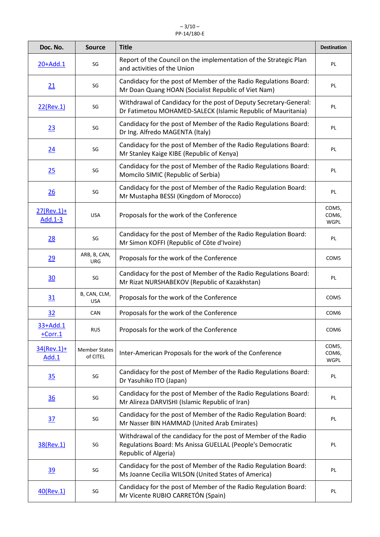#### $-3/10-$ PP-14/180-E

| Doc. No.                 | <b>Source</b>                    | <b>Title</b>                                                                                                                                         | <b>Destination</b>                         |
|--------------------------|----------------------------------|------------------------------------------------------------------------------------------------------------------------------------------------------|--------------------------------------------|
| 20+Add.1                 | SG                               | Report of the Council on the implementation of the Strategic Plan<br>and activities of the Union                                                     | PL                                         |
| 21                       | SG                               | Candidacy for the post of Member of the Radio Regulations Board:<br>Mr Doan Quang HOAN (Socialist Republic of Viet Nam)                              | PL                                         |
| 22(Rev.1)                | SG                               | Withdrawal of Candidacy for the post of Deputy Secretary-General:<br>Dr Fatimetou MOHAMED-SALECK (Islamic Republic of Mauritania)                    | PL                                         |
| 23                       | SG                               | Candidacy for the post of Member of the Radio Regulations Board:<br>Dr Ing. Alfredo MAGENTA (Italy)                                                  | PL                                         |
| 24                       | SG                               | Candidacy for the post of Member of the Radio Regulations Board:<br>Mr Stanley Kaige KIBE (Republic of Kenya)                                        | PL                                         |
| 25                       | SG                               | Candidacy for the post of Member of the Radio Regulations Board:<br>Momcilo SIMIC (Republic of Serbia)                                               | PL                                         |
| 26                       | SG                               | Candidacy for the post of Member of the Radio Regulation Board:<br>Mr Mustapha BESSI (Kingdom of Morocco)                                            | PL                                         |
| $27$ (Rev.1)+<br>Add.1-3 | <b>USA</b>                       | Proposals for the work of the Conference                                                                                                             | COM5,<br>COM6,<br><b>WGPL</b>              |
| 28                       | SG                               | Candidacy for the post of Member of the Radio Regulation Board:<br>Mr Simon KOFFI (Republic of Côte d'Ivoire)                                        | PL                                         |
| 29                       | ARB, B, CAN,<br>URG              | Proposals for the work of the Conference                                                                                                             | COM5                                       |
| 30                       | SG                               | Candidacy for the post of Member of the Radio Regulations Board:<br>Mr Rizat NURSHABEKOV (Republic of Kazakhstan)                                    | PL                                         |
| 31                       | B, CAN, CLM,<br><b>USA</b>       | Proposals for the work of the Conference                                                                                                             | COM5                                       |
| 32                       | <b>CAN</b>                       | Proposals for the work of the Conference                                                                                                             | COM <sub>6</sub>                           |
| 33+Add.1<br>$+Corr.1$    | <b>RUS</b>                       | Proposals for the work of the Conference                                                                                                             | COM <sub>6</sub>                           |
| $34$ (Rev.1)+<br>Add.1   | <b>Member States</b><br>of CITEL | Inter-American Proposals for the work of the Conference                                                                                              | COM5,<br>COM <sub>6</sub> ,<br><b>WGPL</b> |
| 35                       | SG                               | Candidacy for the post of Member of the Radio Regulations Board:<br>Dr Yasuhiko ITO (Japan)                                                          | PL                                         |
| $\overline{36}$          | SG                               | Candidacy for the post of Member of the Radio Regulations Board:<br>Mr Alireza DARVISHI (Islamic Republic of Iran)                                   | PL                                         |
| $\overline{37}$          | SG                               | Candidacy for the post of Member of the Radio Regulation Board:<br>Mr Nasser BIN HAMMAD (United Arab Emirates)                                       | PL                                         |
| 38(Rev.1)                | SG                               | Withdrawal of the candidacy for the post of Member of the Radio<br>Regulations Board: Ms Anissa GUELLAL (People's Democratic<br>Republic of Algeria) | PL                                         |
| 39                       | SG                               | Candidacy for the post of Member of the Radio Regulation Board:<br>Ms Joanne Cecilia WILSON (United States of America)                               | PL                                         |
| 40(Rev.1)                | SG                               | Candidacy for the post of Member of the Radio Regulation Board:<br>Mr Vicente RUBIO CARRETÓN (Spain)                                                 | PL                                         |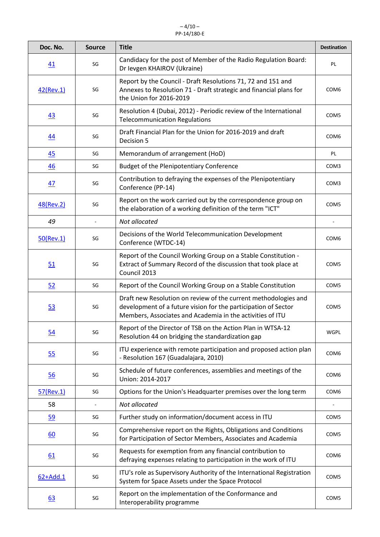| Doc. No.     | <b>Source</b> | <b>Title</b>                                                                                                                                                                                   | <b>Destination</b> |
|--------------|---------------|------------------------------------------------------------------------------------------------------------------------------------------------------------------------------------------------|--------------------|
| 41           | SG            | Candidacy for the post of Member of the Radio Regulation Board:<br>Dr levgen KHAIROV (Ukraine)                                                                                                 | PL                 |
| $42$ (Rev.1) | SG            | Report by the Council - Draft Resolutions 71, 72 and 151 and<br>Annexes to Resolution 71 - Draft strategic and financial plans for<br>the Union for 2016-2019                                  | COM <sub>6</sub>   |
| 43           | SG            | Resolution 4 (Dubai, 2012) - Periodic review of the International<br><b>Telecommunication Regulations</b>                                                                                      | COM5               |
| 44           | SG            | Draft Financial Plan for the Union for 2016-2019 and draft<br>Decision 5                                                                                                                       | COM <sub>6</sub>   |
| 45           | SG            | Memorandum of arrangement (HoD)                                                                                                                                                                | PL                 |
| 46           | SG            | <b>Budget of the Plenipotentiary Conference</b>                                                                                                                                                | COM3               |
| 47           | SG            | Contribution to defraying the expenses of the Plenipotentiary<br>Conference (PP-14)                                                                                                            | COM3               |
| 48(Rev.2)    | SG            | Report on the work carried out by the correspondence group on<br>the elaboration of a working definition of the term "ICT"                                                                     | COM5               |
| 49           |               | Not allocated                                                                                                                                                                                  |                    |
| $50$ (Rev.1) | SG            | Decisions of the World Telecommunication Development<br>Conference (WTDC-14)                                                                                                                   | COM <sub>6</sub>   |
| 51           | SG            | Report of the Council Working Group on a Stable Constitution -<br>Extract of Summary Record of the discussion that took place at<br>Council 2013                                               | COM5               |
| 52           | SG            | Report of the Council Working Group on a Stable Constitution                                                                                                                                   | COM5               |
| 53           | SG            | Draft new Resolution on review of the current methodologies and<br>development of a future vision for the participation of Sector<br>Members, Associates and Academia in the activities of ITU | COM5               |
| 54           | SG            | Report of the Director of TSB on the Action Plan in WTSA-12<br>Resolution 44 on bridging the standardization gap                                                                               | <b>WGPL</b>        |
| 55           | SG            | ITU experience with remote participation and proposed action plan<br>- Resolution 167 (Guadalajara, 2010)                                                                                      | COM <sub>6</sub>   |
| 56           | SG            | Schedule of future conferences, assemblies and meetings of the<br>Union: 2014-2017                                                                                                             | COM <sub>6</sub>   |
| 57(Rev.1)    | SG            | Options for the Union's Headquarter premises over the long term                                                                                                                                | COM <sub>6</sub>   |
| 58           |               | Not allocated                                                                                                                                                                                  |                    |
| <u>59</u>    | SG            | Further study on information/document access in ITU                                                                                                                                            | COM5               |
| 60           | SG            | Comprehensive report on the Rights, Obligations and Conditions<br>for Participation of Sector Members, Associates and Academia                                                                 | COM5               |
| 61           | SG            | Requests for exemption from any financial contribution to<br>defraying expenses relating to participation in the work of ITU                                                                   | COM <sub>6</sub>   |
| 62+Add.1     | SG            | ITU's role as Supervisory Authority of the International Registration<br>System for Space Assets under the Space Protocol                                                                      | COM5               |
| 63           | SG            | Report on the implementation of the Conformance and<br>Interoperability programme                                                                                                              | COM5               |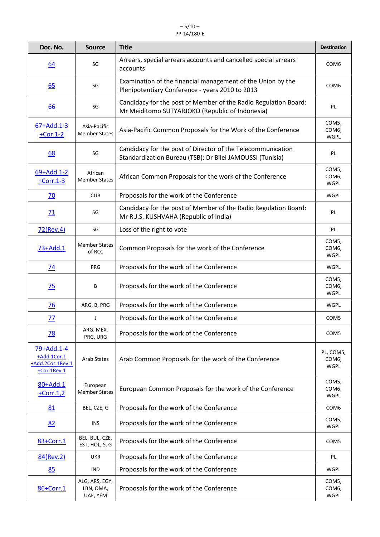#### $-5/10-$ PP-14/180-E

| Doc. No.                                                     | <b>Source</b>                           | <b>Title</b>                                                                                                             | <b>Destination</b>                             |
|--------------------------------------------------------------|-----------------------------------------|--------------------------------------------------------------------------------------------------------------------------|------------------------------------------------|
| 64                                                           | SG                                      | Arrears, special arrears accounts and cancelled special arrears<br>accounts                                              | COM <sub>6</sub>                               |
| 65                                                           | SG                                      | Examination of the financial management of the Union by the<br>Plenipotentiary Conference - years 2010 to 2013           | COM <sub>6</sub>                               |
| 66                                                           | SG                                      | Candidacy for the post of Member of the Radio Regulation Board:<br>Mr Meiditomo SUTYARJOKO (Republic of Indonesia)       | PL                                             |
| $67 + Add.1 - 3$<br>$+Cor.1-2$                               | Asia-Pacific<br><b>Member States</b>    | Asia-Pacific Common Proposals for the Work of the Conference                                                             | COM5,<br>COM6,<br><b>WGPL</b>                  |
| <u>68</u>                                                    | SG                                      | Candidacy for the post of Director of the Telecommunication<br>Standardization Bureau (TSB): Dr Bilel JAMOUSSI (Tunisia) | PL                                             |
| 69+Add.1-2<br>$+Corr.1-3$                                    | African<br><b>Member States</b>         | African Common Proposals for the work of the Conference                                                                  | COM5,<br>COM <sub>6</sub> ,<br><b>WGPL</b>     |
| 70                                                           | <b>CUB</b>                              | Proposals for the work of the Conference                                                                                 | <b>WGPL</b>                                    |
| 71                                                           | SG                                      | Candidacy for the post of Member of the Radio Regulation Board:<br>Mr R.J.S. KUSHVAHA (Republic of India)                | PL                                             |
| 72(Rev.4)                                                    | SG                                      | Loss of the right to vote                                                                                                | PL                                             |
| 73+Add.1                                                     | <b>Member States</b><br>of RCC          | Common Proposals for the work of the Conference                                                                          | COM5,<br>COM <sub>6</sub> ,<br><b>WGPL</b>     |
| $\overline{74}$                                              | <b>PRG</b>                              | Proposals for the work of the Conference                                                                                 | <b>WGPL</b>                                    |
| 75                                                           | В                                       | Proposals for the work of the Conference                                                                                 | COM5,<br>COM <sub>6</sub> ,<br><b>WGPL</b>     |
| $\overline{76}$                                              | ARG, B, PRG                             | Proposals for the work of the Conference                                                                                 | WGPL                                           |
| 77                                                           | J                                       | Proposals for the work of the Conference                                                                                 | COM <sub>5</sub>                               |
| 78                                                           | ARG, MEX,<br>PRG, URG                   | Proposals for the work of the Conference                                                                                 | COM <sub>5</sub>                               |
| 79+Add.1-4<br>+Add.1Cor.1<br>+Add.2Cor.1Rev.1<br>+Cor.1Rev.1 | <b>Arab States</b>                      | Arab Common Proposals for the work of the Conference                                                                     | PL, COM5,<br>COM <sub>6</sub> ,<br><b>WGPL</b> |
| 80+Add.1<br>$+Corr.1,2$                                      | European<br><b>Member States</b>        | European Common Proposals for the work of the Conference                                                                 | COM5,<br>COM <sub>6</sub> ,<br><b>WGPL</b>     |
| 81                                                           | BEL, CZE, G                             | Proposals for the work of the Conference                                                                                 | COM <sub>6</sub>                               |
| 82                                                           | INS                                     | Proposals for the work of the Conference                                                                                 | COM5,<br><b>WGPL</b>                           |
| 83+Corr.1                                                    | BEL, BUL, CZE,<br>EST, HOL, S, G        | Proposals for the work of the Conference                                                                                 | COM <sub>5</sub>                               |
| 84(Rev.2)                                                    | <b>UKR</b>                              | Proposals for the work of the Conference                                                                                 | PL                                             |
| 85                                                           | <b>IND</b>                              | Proposals for the work of the Conference                                                                                 | WGPL                                           |
| 86+Corr.1                                                    | ALG, ARS, EGY,<br>LBN, OMA,<br>UAE, YEM | Proposals for the work of the Conference                                                                                 | COM5,<br>COM <sub>6</sub> ,<br><b>WGPL</b>     |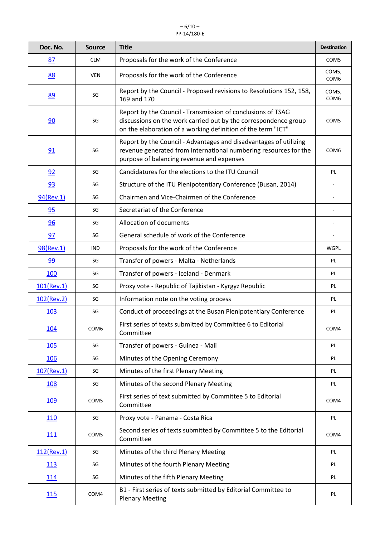#### $-6/10-$ PP-14/180-E

| Doc. No.      | <b>Source</b>    | <b>Title</b>                                                                                                                                                                                   | <b>Destination</b>        |
|---------------|------------------|------------------------------------------------------------------------------------------------------------------------------------------------------------------------------------------------|---------------------------|
| 87            | <b>CLM</b>       | Proposals for the work of the Conference                                                                                                                                                       | COM <sub>5</sub>          |
| 88            | <b>VEN</b>       | Proposals for the work of the Conference                                                                                                                                                       | COM5,<br>COM <sub>6</sub> |
| 89            | SG               | Report by the Council - Proposed revisions to Resolutions 152, 158,<br>169 and 170                                                                                                             | COM5,<br>COM <sub>6</sub> |
| 90            | SG               | Report by the Council - Transmission of conclusions of TSAG<br>discussions on the work carried out by the correspondence group<br>on the elaboration of a working definition of the term "ICT" | COM <sub>5</sub>          |
| 91            | SG               | Report by the Council - Advantages and disadvantages of utilizing<br>revenue generated from International numbering resources for the<br>purpose of balancing revenue and expenses             | COM <sub>6</sub>          |
| 92            | SG               | Candidatures for the elections to the ITU Council                                                                                                                                              | PL                        |
| 93            | SG               | Structure of the ITU Plenipotentiary Conference (Busan, 2014)                                                                                                                                  |                           |
| 94(Rev.1)     | SG               | Chairmen and Vice-Chairmen of the Conference                                                                                                                                                   |                           |
| 95            | SG               | Secretariat of the Conference                                                                                                                                                                  |                           |
| 96            | SG               | Allocation of documents                                                                                                                                                                        |                           |
| 97            | SG               | General schedule of work of the Conference                                                                                                                                                     |                           |
| 98(Rev.1)     | <b>IND</b>       | Proposals for the work of the Conference                                                                                                                                                       | <b>WGPL</b>               |
| 99            | SG               | Transfer of powers - Malta - Netherlands                                                                                                                                                       | PL                        |
| 100           | SG               | Transfer of powers - Iceland - Denmark                                                                                                                                                         | PL                        |
| $101$ (Rev.1) | SG               | Proxy vote - Republic of Tajikistan - Kyrgyz Republic                                                                                                                                          | PL                        |
| 102(Rev.2)    | SG               | Information note on the voting process                                                                                                                                                         | PL                        |
| 103           | SG               | Conduct of proceedings at the Busan Plenipotentiary Conference                                                                                                                                 | PL                        |
| 104           | COM6             | First series of texts submitted by Committee 6 to Editorial<br>Committee                                                                                                                       | COM4                      |
| 105           | SG               | Transfer of powers - Guinea - Mali                                                                                                                                                             | PL                        |
| 106           | SG               | Minutes of the Opening Ceremony                                                                                                                                                                | PL                        |
| 107(Rev.1)    | SG               | Minutes of the first Plenary Meeting                                                                                                                                                           | PL                        |
| 108           | SG               | Minutes of the second Plenary Meeting                                                                                                                                                          | PL                        |
| <u>109</u>    | COM <sub>5</sub> | First series of text submitted by Committee 5 to Editorial<br>Committee                                                                                                                        | COM4                      |
| 110           | SG               | Proxy vote - Panama - Costa Rica                                                                                                                                                               | PL                        |
| 111           | COM <sub>5</sub> | Second series of texts submitted by Committee 5 to the Editorial<br>Committee                                                                                                                  | COM4                      |
| $112$ (Rev.1) | SG               | Minutes of the third Plenary Meeting                                                                                                                                                           | PL                        |
| 113           | SG               | Minutes of the fourth Plenary Meeting                                                                                                                                                          | PL                        |
| <u>114</u>    | SG               | Minutes of the fifth Plenary Meeting                                                                                                                                                           | PL                        |
| 115           | COM4             | B1 - First series of texts submitted by Editorial Committee to<br><b>Plenary Meeting</b>                                                                                                       | PL                        |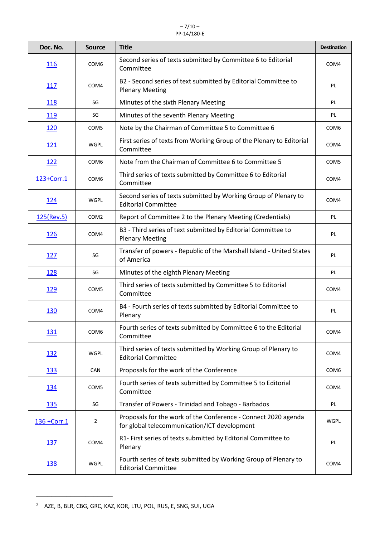#### $-7/10-$ PP-14/180-E

| Doc. No.     | <b>Source</b>    | <b>Title</b>                                                                                                   | <b>Destination</b> |
|--------------|------------------|----------------------------------------------------------------------------------------------------------------|--------------------|
| <u>116</u>   | COM <sub>6</sub> | Second series of texts submitted by Committee 6 to Editorial<br>Committee                                      | COM4               |
| 117          | COM4             | B2 - Second series of text submitted by Editorial Committee to<br><b>Plenary Meeting</b>                       | PL                 |
| <u>118</u>   | SG               | Minutes of the sixth Plenary Meeting                                                                           | PL                 |
| 119          | SG               | Minutes of the seventh Plenary Meeting                                                                         | PL                 |
| 120          | COM5             | Note by the Chairman of Committee 5 to Committee 6                                                             | COM <sub>6</sub>   |
| <u>121</u>   | WGPL             | First series of texts from Working Group of the Plenary to Editorial<br>Committee                              | COM4               |
| <u>122</u>   | COM <sub>6</sub> | Note from the Chairman of Committee 6 to Committee 5                                                           | COM5               |
| 123+Corr.1   | COM <sub>6</sub> | Third series of texts submitted by Committee 6 to Editorial<br>Committee                                       | COM4               |
| 124          | <b>WGPL</b>      | Second series of texts submitted by Working Group of Plenary to<br><b>Editorial Committee</b>                  | COM4               |
| 125(Rev.5)   | COM <sub>2</sub> | Report of Committee 2 to the Plenary Meeting (Credentials)                                                     | PL                 |
| 126          | COM4             | B3 - Third series of text submitted by Editorial Committee to<br><b>Plenary Meeting</b>                        | PL                 |
| <u>127</u>   | SG               | Transfer of powers - Republic of the Marshall Island - United States<br>of America                             | PL                 |
| 128          | SG               | Minutes of the eighth Plenary Meeting                                                                          | PL                 |
| <u>129</u>   | COM5             | Third series of texts submitted by Committee 5 to Editorial<br>Committee                                       | COM4               |
| 130          | COM4             | B4 - Fourth series of texts submitted by Editorial Committee to<br>Plenary                                     | PL                 |
| <u>131</u>   | COM <sub>6</sub> | Fourth series of texts submitted by Committee 6 to the Editorial<br>Committee                                  | COM4               |
| 132          | <b>WGPL</b>      | Third series of texts submitted by Working Group of Plenary to<br><b>Editorial Committee</b>                   | COM4               |
| <u>133</u>   | CAN              | Proposals for the work of the Conference                                                                       | COM <sub>6</sub>   |
| <u>134</u>   | COM5             | Fourth series of texts submitted by Committee 5 to Editorial<br>Committee                                      | COM4               |
| 135          | SG               | Transfer of Powers - Trinidad and Tobago - Barbados                                                            | PL                 |
| 136 + Corr.1 | $\overline{2}$   | Proposals for the work of the Conference - Connect 2020 agenda<br>for global telecommunication/ICT development | <b>WGPL</b>        |
| <u>137</u>   | COM4             | R1- First series of texts submitted by Editorial Committee to<br>Plenary                                       | PL                 |
| <u>138</u>   | WGPL             | Fourth series of texts submitted by Working Group of Plenary to<br><b>Editorial Committee</b>                  | COM4               |

<span id="page-7-0"></span><sup>2</sup> AZE, B, BLR, CBG, GRC, KAZ, KOR, LTU, POL, RUS, E, SNG, SUI, UGA

\_\_\_\_\_\_\_\_\_\_\_\_\_\_\_\_\_\_\_\_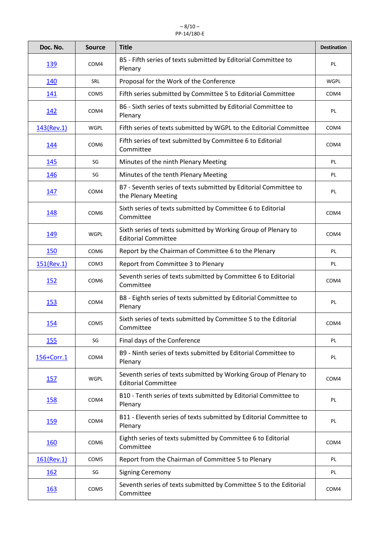#### $-8/10-$ PP-14/180-E

| Doc. No.    | <b>Source</b>    | <b>Title</b>                                                                                   | <b>Destination</b> |
|-------------|------------------|------------------------------------------------------------------------------------------------|--------------------|
| <u>139</u>  | COM4             | B5 - Fifth series of texts submitted by Editorial Committee to<br>Plenary                      | PL                 |
| 140         | SRL              | Proposal for the Work of the Conference                                                        | <b>WGPL</b>        |
| 141         | COM <sub>5</sub> | Fifth series submitted by Committee 5 to Editorial Committee                                   | COM4               |
| <u>142</u>  | COM4             | B6 - Sixth series of texts submitted by Editorial Committee to<br>Plenary                      | PL                 |
| 143(Rev.1)  | <b>WGPL</b>      | Fifth series of texts submitted by WGPL to the Editorial Committee                             | COM4               |
| <u> 144</u> | COM <sub>6</sub> | Fifth series of text submitted by Committee 6 to Editorial<br>Committee                        | COM4               |
| <u>145</u>  | SG               | Minutes of the ninth Plenary Meeting                                                           | PL                 |
| 146         | SG               | Minutes of the tenth Plenary Meeting                                                           | PL                 |
| 147         | COM4             | B7 - Seventh series of texts submitted by Editorial Committee to<br>the Plenary Meeting        | PL                 |
| <u>148</u>  | COM <sub>6</sub> | Sixth series of texts submitted by Committee 6 to Editorial<br>Committee                       | COM4               |
| 149         | <b>WGPL</b>      | Sixth series of texts submitted by Working Group of Plenary to<br><b>Editorial Committee</b>   | COM4               |
| 150         | COM <sub>6</sub> | Report by the Chairman of Committee 6 to the Plenary                                           | PL                 |
| 151(Rev.1)  | COM3             | Report from Committee 3 to Plenary                                                             | PL                 |
| <u>152</u>  | COM <sub>6</sub> | Seventh series of texts submitted by Committee 6 to Editorial<br>Committee                     | COM4               |
| <u>153</u>  | COM4             | B8 - Eighth series of texts submitted by Editorial Committee to<br>Plenary                     | PL                 |
| 154         | COM <sub>5</sub> | Sixth series of texts submitted by Committee 5 to the Editorial<br>Committee                   | COM4               |
| 155         | SG               | Final days of the Conference                                                                   | PL                 |
| 156+Corr.1  | COM4             | B9 - Ninth series of texts submitted by Editorial Committee to<br>Plenary                      | PL                 |
| 157         | <b>WGPL</b>      | Seventh series of texts submitted by Working Group of Plenary to<br><b>Editorial Committee</b> | COM4               |
| <u>158</u>  | COM4             | B10 - Tenth series of texts submitted by Editorial Committee to<br>Plenary                     | PL                 |
| <u>159</u>  | COM4             | B11 - Eleventh series of texts submitted by Editorial Committee to<br>Plenary                  | PL                 |
| 160         | COM <sub>6</sub> | Eighth series of texts submitted by Committee 6 to Editorial<br>Committee                      | COM4               |
| 161(Rev.1)  | COM <sub>5</sub> | Report from the Chairman of Committee 5 to Plenary                                             | PL                 |
| <u>162</u>  | SG               | <b>Signing Ceremony</b>                                                                        | PL                 |
| <u>163</u>  | COM <sub>5</sub> | Seventh series of texts submitted by Committee 5 to the Editorial<br>Committee                 | COM4               |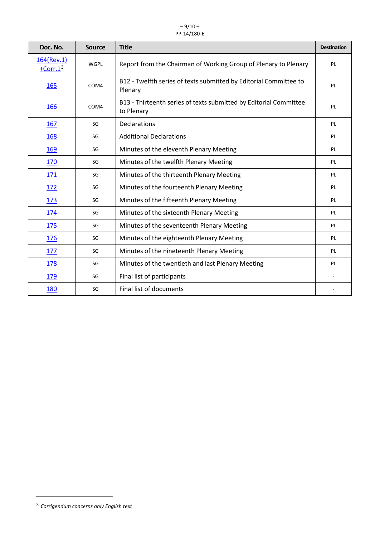#### $-9/10-$ PP-14/180-E

| Doc. No.                 | <b>Source</b> | <b>Title</b>                                                                    | <b>Destination</b> |
|--------------------------|---------------|---------------------------------------------------------------------------------|--------------------|
| 164(Rev.1)<br>$+Corr.13$ | <b>WGPL</b>   | Report from the Chairman of Working Group of Plenary to Plenary                 | PL                 |
| 165                      | COM4          | B12 - Twelfth series of texts submitted by Editorial Committee to<br>Plenary    | PL                 |
| 166                      | COM4          | B13 - Thirteenth series of texts submitted by Editorial Committee<br>to Plenary | PL                 |
| 167                      | SG            | <b>Declarations</b>                                                             | PL                 |
| 168                      | SG            | <b>Additional Declarations</b>                                                  | PL                 |
| 169                      | SG            | Minutes of the eleventh Plenary Meeting                                         | PL                 |
| 170                      | SG            | Minutes of the twelfth Plenary Meeting                                          | PL                 |
| <u>171</u>               | SG            | Minutes of the thirteenth Plenary Meeting                                       | PL                 |
| 172                      | SG            | Minutes of the fourteenth Plenary Meeting                                       | PL                 |
| <u>173</u>               | SG            | Minutes of the fifteenth Plenary Meeting                                        | PL                 |
| 174                      | SG            | Minutes of the sixteenth Plenary Meeting                                        | PL                 |
| 175                      | SG            | Minutes of the seventeenth Plenary Meeting                                      | PL                 |
| 176                      | SG            | Minutes of the eighteenth Plenary Meeting                                       | PL                 |
| 177                      | SG            | Minutes of the nineteenth Plenary Meeting                                       | PL                 |
| 178                      | SG            | Minutes of the twentieth and last Plenary Meeting                               | PL                 |
| <u>179</u>               | SG            | Final list of participants                                                      |                    |
| 180                      | SG            | Final list of documents                                                         |                    |

L

\_\_\_\_\_\_\_\_\_\_\_\_\_\_\_\_\_\_\_\_

<span id="page-9-0"></span><sup>3</sup> *Corrigendum concerns only English text*